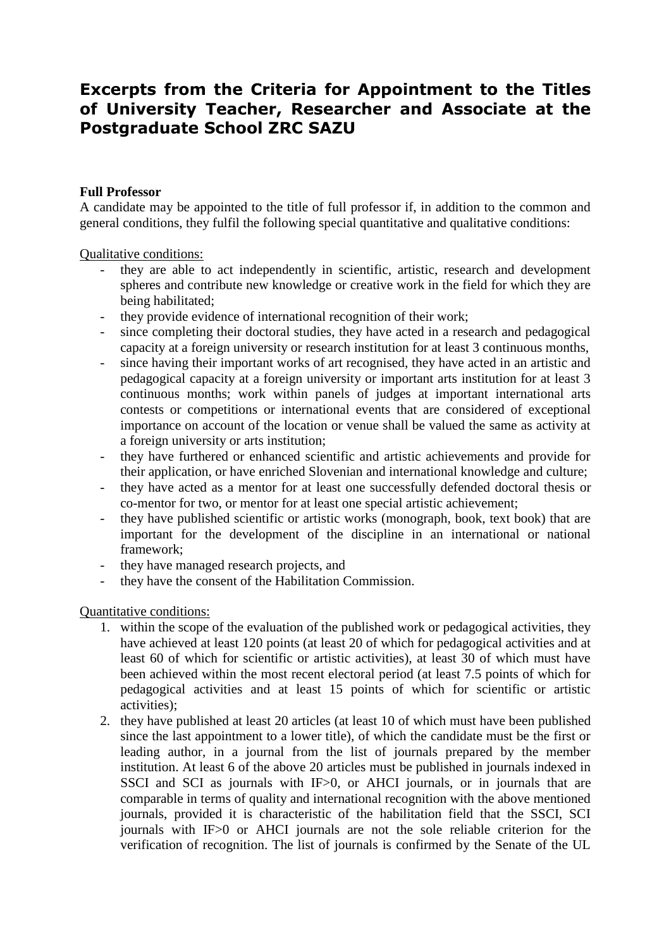# **Excerpts from the Criteria for Appointment to the Titles of University Teacher, Researcher and Associate at the Postgraduate School ZRC SAZU**

### **Full Professor**

A candidate may be appointed to the title of full professor if, in addition to the common and general conditions, they fulfil the following special quantitative and qualitative conditions:

Qualitative conditions:

- they are able to act independently in scientific, artistic, research and development spheres and contribute new knowledge or creative work in the field for which they are being habilitated;
- they provide evidence of international recognition of their work;
- since completing their doctoral studies, they have acted in a research and pedagogical capacity at a foreign university or research institution for at least 3 continuous months,
- since having their important works of art recognised, they have acted in an artistic and pedagogical capacity at a foreign university or important arts institution for at least 3 continuous months; work within panels of judges at important international arts contests or competitions or international events that are considered of exceptional importance on account of the location or venue shall be valued the same as activity at a foreign university or arts institution;
- they have furthered or enhanced scientific and artistic achievements and provide for their application, or have enriched Slovenian and international knowledge and culture;
- they have acted as a mentor for at least one successfully defended doctoral thesis or co-mentor for two, or mentor for at least one special artistic achievement;
- they have published scientific or artistic works (monograph, book, text book) that are important for the development of the discipline in an international or national framework;
- they have managed research projects, and
- they have the consent of the Habilitation Commission.

Quantitative conditions:

- 1. within the scope of the evaluation of the published work or pedagogical activities, they have achieved at least 120 points (at least 20 of which for pedagogical activities and at least 60 of which for scientific or artistic activities), at least 30 of which must have been achieved within the most recent electoral period (at least 7.5 points of which for pedagogical activities and at least 15 points of which for scientific or artistic activities);
- 2. they have published at least 20 articles (at least 10 of which must have been published since the last appointment to a lower title), of which the candidate must be the first or leading author, in a journal from the list of journals prepared by the member institution. At least 6 of the above 20 articles must be published in journals indexed in SSCI and SCI as journals with IF>0, or AHCI journals, or in journals that are comparable in terms of quality and international recognition with the above mentioned journals, provided it is characteristic of the habilitation field that the SSCI, SCI journals with IF>0 or AHCI journals are not the sole reliable criterion for the verification of recognition. The list of journals is confirmed by the Senate of the UL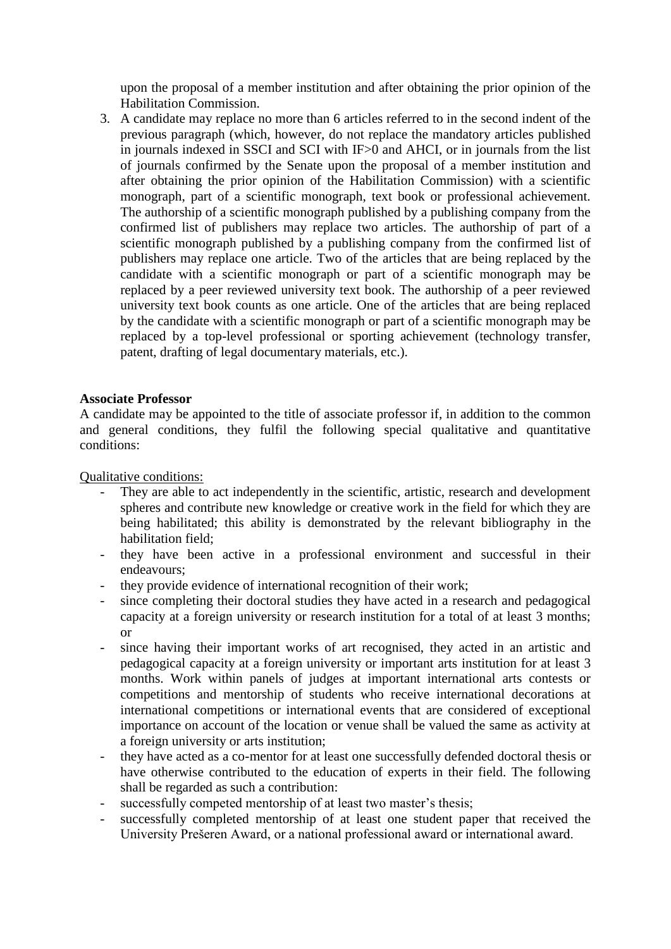upon the proposal of a member institution and after obtaining the prior opinion of the Habilitation Commission.

3. A candidate may replace no more than 6 articles referred to in the second indent of the previous paragraph (which, however, do not replace the mandatory articles published in journals indexed in SSCI and SCI with IF>0 and AHCI, or in journals from the list of journals confirmed by the Senate upon the proposal of a member institution and after obtaining the prior opinion of the Habilitation Commission) with a scientific monograph, part of a scientific monograph, text book or professional achievement. The authorship of a scientific monograph published by a publishing company from the confirmed list of publishers may replace two articles. The authorship of part of a scientific monograph published by a publishing company from the confirmed list of publishers may replace one article. Two of the articles that are being replaced by the candidate with a scientific monograph or part of a scientific monograph may be replaced by a peer reviewed university text book. The authorship of a peer reviewed university text book counts as one article. One of the articles that are being replaced by the candidate with a scientific monograph or part of a scientific monograph may be replaced by a top-level professional or sporting achievement (technology transfer, patent, drafting of legal documentary materials, etc.).

#### **Associate Professor**

A candidate may be appointed to the title of associate professor if, in addition to the common and general conditions, they fulfil the following special qualitative and quantitative conditions:

Qualitative conditions:

- They are able to act independently in the scientific, artistic, research and development spheres and contribute new knowledge or creative work in the field for which they are being habilitated; this ability is demonstrated by the relevant bibliography in the habilitation field;
- they have been active in a professional environment and successful in their endeavours;
- they provide evidence of international recognition of their work;
- since completing their doctoral studies they have acted in a research and pedagogical capacity at a foreign university or research institution for a total of at least 3 months; or
- since having their important works of art recognised, they acted in an artistic and pedagogical capacity at a foreign university or important arts institution for at least 3 months. Work within panels of judges at important international arts contests or competitions and mentorship of students who receive international decorations at international competitions or international events that are considered of exceptional importance on account of the location or venue shall be valued the same as activity at a foreign university or arts institution;
- they have acted as a co-mentor for at least one successfully defended doctoral thesis or have otherwise contributed to the education of experts in their field. The following shall be regarded as such a contribution:
- successfully competed mentorship of at least two master's thesis;
- successfully completed mentorship of at least one student paper that received the University Prešeren Award, or a national professional award or international award.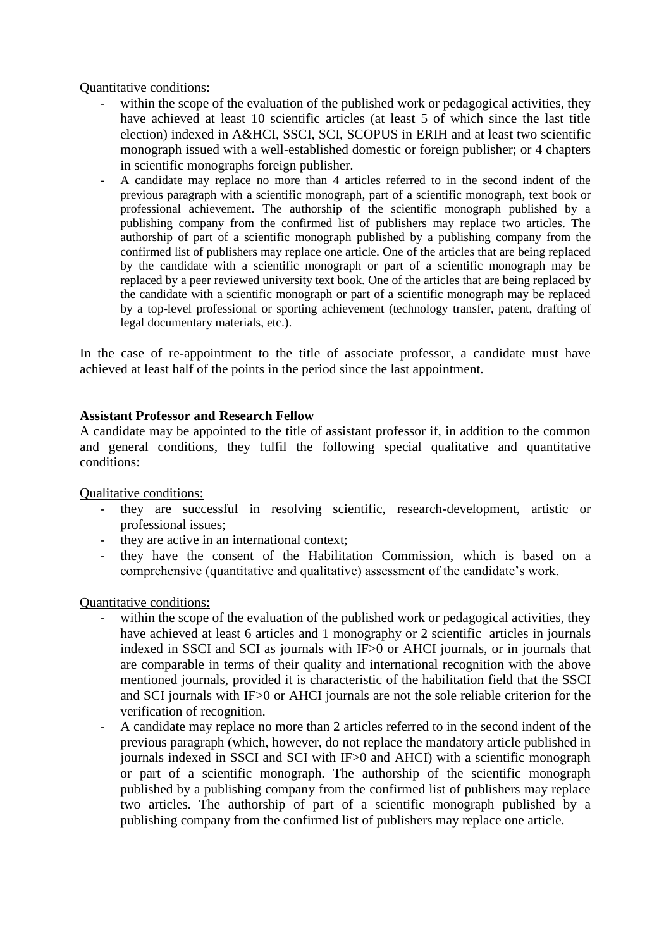Quantitative conditions:

- within the scope of the evaluation of the published work or pedagogical activities, they have achieved at least 10 scientific articles (at least 5 of which since the last title election) indexed in A&HCI, SSCI, SCI, SCOPUS in ERIH and at least two scientific monograph issued with a well-established domestic or foreign publisher; or 4 chapters in scientific monographs foreign publisher.
- A candidate may replace no more than 4 articles referred to in the second indent of the previous paragraph with a scientific monograph, part of a scientific monograph, text book or professional achievement. The authorship of the scientific monograph published by a publishing company from the confirmed list of publishers may replace two articles. The authorship of part of a scientific monograph published by a publishing company from the confirmed list of publishers may replace one article. One of the articles that are being replaced by the candidate with a scientific monograph or part of a scientific monograph may be replaced by a peer reviewed university text book. One of the articles that are being replaced by the candidate with a scientific monograph or part of a scientific monograph may be replaced by a top-level professional or sporting achievement (technology transfer, patent, drafting of legal documentary materials, etc.).

In the case of re-appointment to the title of associate professor, a candidate must have achieved at least half of the points in the period since the last appointment.

## **Assistant Professor and Research Fellow**

A candidate may be appointed to the title of assistant professor if, in addition to the common and general conditions, they fulfil the following special qualitative and quantitative conditions:

Qualitative conditions:

- they are successful in resolving scientific, research-development, artistic or professional issues;
- they are active in an international context;
- they have the consent of the Habilitation Commission, which is based on a comprehensive (quantitative and qualitative) assessment of the candidate's work.

Quantitative conditions:

- within the scope of the evaluation of the published work or pedagogical activities, they have achieved at least 6 articles and 1 monography or 2 scientific articles in journals indexed in SSCI and SCI as journals with IF>0 or AHCI journals, or in journals that are comparable in terms of their quality and international recognition with the above mentioned journals, provided it is characteristic of the habilitation field that the SSCI and SCI journals with IF>0 or AHCI journals are not the sole reliable criterion for the verification of recognition.
- A candidate may replace no more than 2 articles referred to in the second indent of the previous paragraph (which, however, do not replace the mandatory article published in journals indexed in SSCI and SCI with IF>0 and AHCI) with a scientific monograph or part of a scientific monograph. The authorship of the scientific monograph published by a publishing company from the confirmed list of publishers may replace two articles. The authorship of part of a scientific monograph published by a publishing company from the confirmed list of publishers may replace one article.